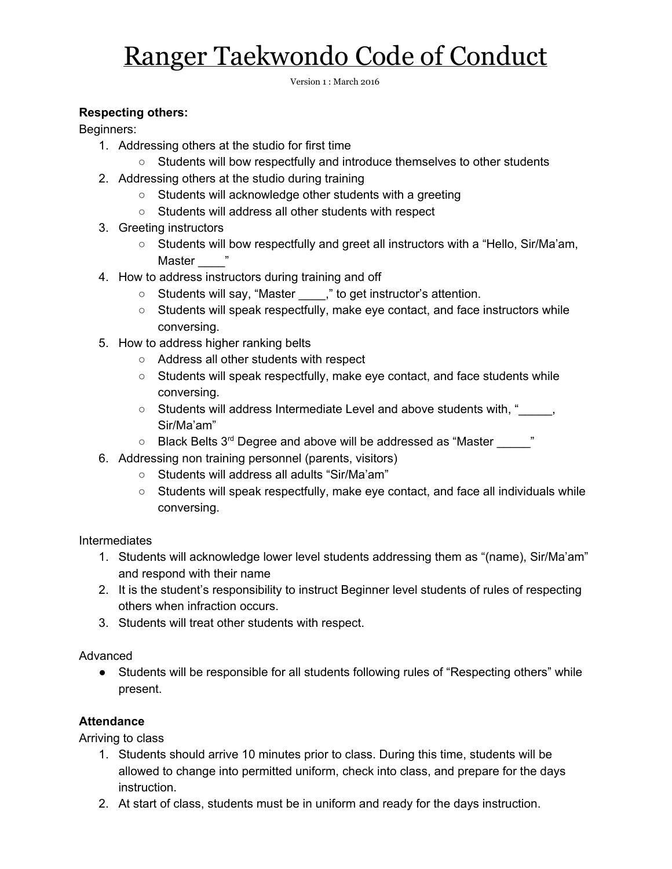# Ranger Taekwondo Code of Conduct

Version 1 : March 2016

### **Respecting others:**

Beginners:

- 1. Addressing others at the studio for first time
	- Students will bow respectfully and introduce themselves to other students
- 2. Addressing others at the studio during training
	- Students will acknowledge other students with a greeting
	- Students will address all other students with respect
- 3. Greeting instructors
	- Students will bow respectfully and greet all instructors with a "Hello, Sir/Ma'am, Master "
- 4. How to address instructors during training and off
	- Students will say, "Master \_\_\_\_," to get instructor's attention.
	- Students will speak respectfully, make eye contact, and face instructors while conversing.
- 5. How to address higher ranking belts
	- Address all other students with respect
	- Students will speak respectfully, make eye contact, and face students while conversing.
	- Students will address Intermediate Level and above students with, "

<sub>2</sub> Sir/Ma'am"
	- $\circ$  Black Belts 3<sup>rd</sup> Degree and above will be addressed as "Master \_\_\_\_\_"
- 6. Addressing non training personnel (parents, visitors)
	- Students will address all adults "Sir/Ma'am"
	- $\circ$  Students will speak respectfully, make eye contact, and face all individuals while conversing.

**Intermediates** 

- 1. Students will acknowledge lower level students addressing them as "(name), Sir/Ma'am" and respond with their name
- 2. It is the student's responsibility to instruct Beginner level students of rules of respecting others when infraction occurs.
- 3. Students will treat other students with respect.

#### Advanced

● Students will be responsible for all students following rules of "Respecting others" while present.

## **Attendance**

Arriving to class

- 1. Students should arrive 10 minutes prior to class. During this time, students will be allowed to change into permitted uniform, check into class, and prepare for the days instruction.
- 2. At start of class, students must be in uniform and ready for the days instruction.